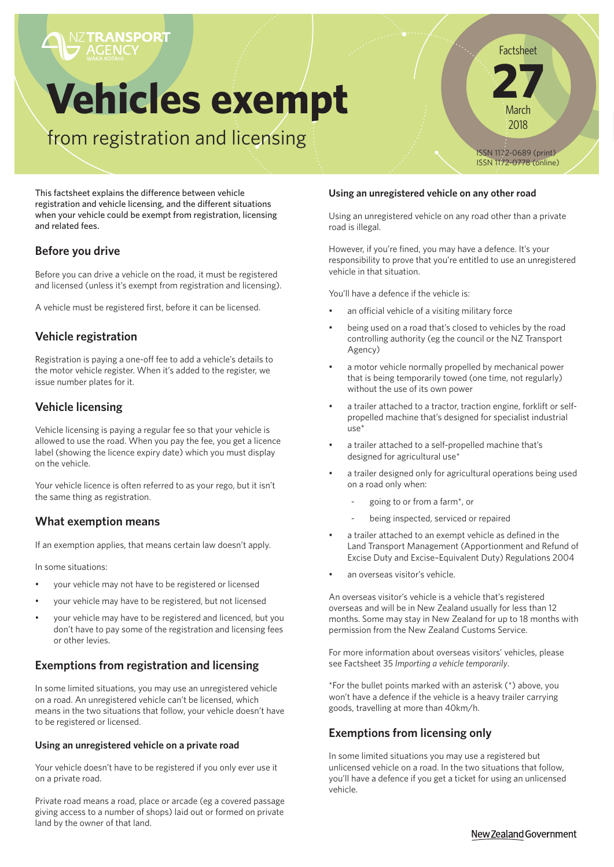# **Vehicles exempt**

from registration and licensing

This factsheet explains the difference between vehicle registration and vehicle licensing, and the different situations when your vehicle could be exempt from registration, licensing and related fees.

# **Before you drive**

Before you can drive a vehicle on the road, it must be registered and licensed (unless it's exempt from registration and licensing).

A vehicle must be registered first, before it can be licensed.

# **Vehicle registration**

Registration is paying a one-off fee to add a vehicle's details to the motor vehicle register. When it's added to the register, we issue number plates for it.

# **Vehicle licensing**

Vehicle licensing is paying a regular fee so that your vehicle is allowed to use the road. When you pay the fee, you get a licence label (showing the licence expiry date) which you must display on the vehicle.

Your vehicle licence is often referred to as your rego, but it isn't the same thing as registration.

# **What exemption means**

If an exemption applies, that means certain law doesn't apply.

In some situations:

- your vehicle may not have to be registered or licensed
- your vehicle may have to be registered, but not licensed
- your vehicle may have to be registered and licenced, but you don't have to pay some of the registration and licensing fees or other levies.

# **Exemptions from registration and licensing**

In some limited situations, you may use an unregistered vehicle on a road. An unregistered vehicle can't be licensed, which means in the two situations that follow, your vehicle doesn't have to be registered or licensed.

#### **Using an unregistered vehicle on a private road**

Your vehicle doesn't have to be registered if you only ever use it on a private road.

Private road means a road, place or arcade (eg a covered passage giving access to a number of shops) laid out or formed on private land by the owner of that land.

#### **Using an unregistered vehicle on any other road**

Using an unregistered vehicle on any road other than a private road is illegal.

However, if you're fined, you may have a defence. It's your responsibility to prove that you're entitled to use an unregistered vehicle in that situation.

You'll have a defence if the vehicle is:

- an official vehicle of a visiting military force
- being used on a road that's closed to vehicles by the road controlling authority (eg the council or the NZ Transport Agency)
- a motor vehicle normally propelled by mechanical power that is being temporarily towed (one time, not regularly) without the use of its own power
- a trailer attached to a tractor, traction engine, forklift or selfpropelled machine that's designed for specialist industrial  $\mathsf{HSE}^*$
- a trailer attached to a self-propelled machine that's designed for agricultural use\*
- a trailer designed only for agricultural operations being used on a road only when:
	- going to or from a farm\*, or
	- being inspected, serviced or repaired
- a trailer attached to an exempt vehicle as defined in the Land Transport Management (Apportionment and Refund of Excise Duty and Excise–Equivalent Duty) Regulations 2004
- an overseas visitor's vehicle.

An overseas visitor's vehicle is a vehicle that's registered overseas and will be in New Zealand usually for less than 12 months. Some may stay in New Zealand for up to 18 months with permission from the New Zealand Customs Service.

For more information about overseas visitors' vehicles, please see Factsheet 35 *Importing a vehicle temporarily*.

\*For the bullet points marked with an asterisk (\*) above, you won't have a defence if the vehicle is a heavy trailer carrying goods, travelling at more than 40km/h.

# **Exemptions from licensing only**

In some limited situations you may use a registered but unlicensed vehicle on a road. In the two situations that follow, you'll have a defence if you get a ticket for using an unlicensed vehicle.

Factsheet **27** March

2018

ISSN 1172-0689 (print) ISSN 1172-0778 (online)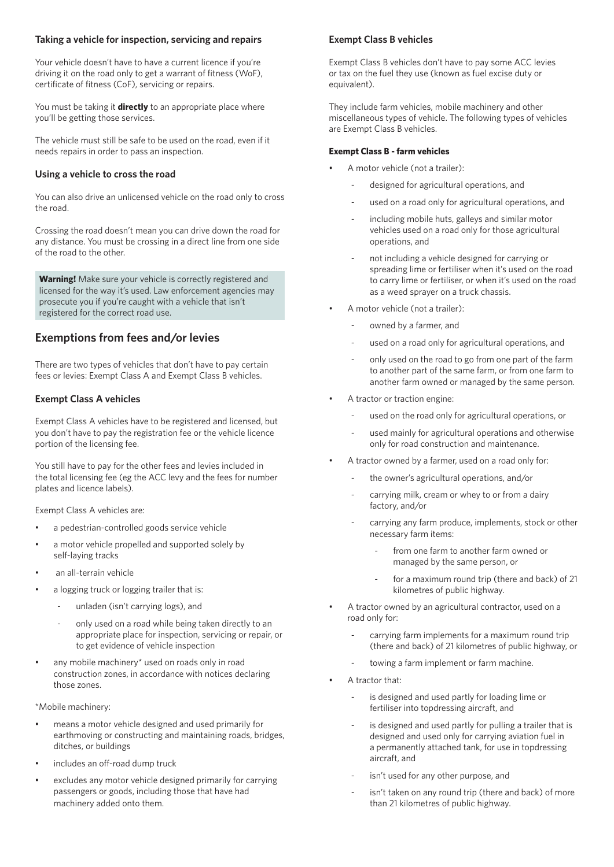#### **Taking a vehicle for inspection, servicing and repairs**

Your vehicle doesn't have to have a current licence if you're driving it on the road only to get a warrant of fitness (WoF), certificate of fitness (CoF), servicing or repairs.

You must be taking it **directly** to an appropriate place where you'll be getting those services.

The vehicle must still be safe to be used on the road, even if it needs repairs in order to pass an inspection.

#### **Using a vehicle to cross the road**

You can also drive an unlicensed vehicle on the road only to cross the road.

Crossing the road doesn't mean you can drive down the road for any distance. You must be crossing in a direct line from one side of the road to the other.

**Warning!** Make sure your vehicle is correctly registered and licensed for the way it's used. Law enforcement agencies may prosecute you if you're caught with a vehicle that isn't registered for the correct road use.

## **Exemptions from fees and/or levies**

There are two types of vehicles that don't have to pay certain fees or levies: Exempt Class A and Exempt Class B vehicles.

#### **Exempt Class A vehicles**

Exempt Class A vehicles have to be registered and licensed, but you don't have to pay the registration fee or the vehicle licence portion of the licensing fee.

You still have to pay for the other fees and levies included in the total licensing fee (eg the ACC levy and the fees for number plates and licence labels).

Exempt Class A vehicles are:

- a pedestrian-controlled goods service vehicle
- a motor vehicle propelled and supported solely by self-laying tracks
- an all-terrain vehicle
- a logging truck or logging trailer that is:
	- unladen (isn't carrying logs), and
	- only used on a road while being taken directly to an appropriate place for inspection, servicing or repair, or to get evidence of vehicle inspection
- any mobile machinery\* used on roads only in road construction zones, in accordance with notices declaring those zones.

\*Mobile machinery:

- means a motor vehicle designed and used primarily for earthmoving or constructing and maintaining roads, bridges, ditches, or buildings
- includes an off-road dump truck
- excludes any motor vehicle designed primarily for carrying passengers or goods, including those that have had machinery added onto them.

#### **Exempt Class B vehicles**

Exempt Class B vehicles don't have to pay some ACC levies or tax on the fuel they use (known as fuel excise duty or equivalent).

They include farm vehicles, mobile machinery and other miscellaneous types of vehicle. The following types of vehicles are Exempt Class B vehicles.

#### **Exempt Class B - farm vehicles**

- A motor vehicle (not a trailer):
	- designed for agricultural operations, and
	- used on a road only for agricultural operations, and
	- including mobile huts, galleys and similar motor vehicles used on a road only for those agricultural operations, and
	- not including a vehicle designed for carrying or spreading lime or fertiliser when it's used on the road to carry lime or fertiliser, or when it's used on the road as a weed sprayer on a truck chassis.
- A motor vehicle (not a trailer):
	- owned by a farmer, and
	- used on a road only for agricultural operations, and
	- only used on the road to go from one part of the farm to another part of the same farm, or from one farm to another farm owned or managed by the same person.
- A tractor or traction engine:
	- used on the road only for agricultural operations, or
	- used mainly for agricultural operations and otherwise only for road construction and maintenance.
- A tractor owned by a farmer, used on a road only for:
	- the owner's agricultural operations, and/or
	- carrying milk, cream or whey to or from a dairy factory, and/or
	- carrying any farm produce, implements, stock or other necessary farm items:
		- from one farm to another farm owned or managed by the same person, or
		- for a maximum round trip (there and back) of 21 kilometres of public highway.
- A tractor owned by an agricultural contractor, used on a road only for:
	- carrying farm implements for a maximum round trip (there and back) of 21 kilometres of public highway, or
	- towing a farm implement or farm machine.
- A tractor that:
	- is designed and used partly for loading lime or fertiliser into topdressing aircraft, and
	- is designed and used partly for pulling a trailer that is designed and used only for carrying aviation fuel in a permanently attached tank, for use in topdressing aircraft, and
	- isn't used for any other purpose, and
	- isn't taken on any round trip (there and back) of more than 21 kilometres of public highway.